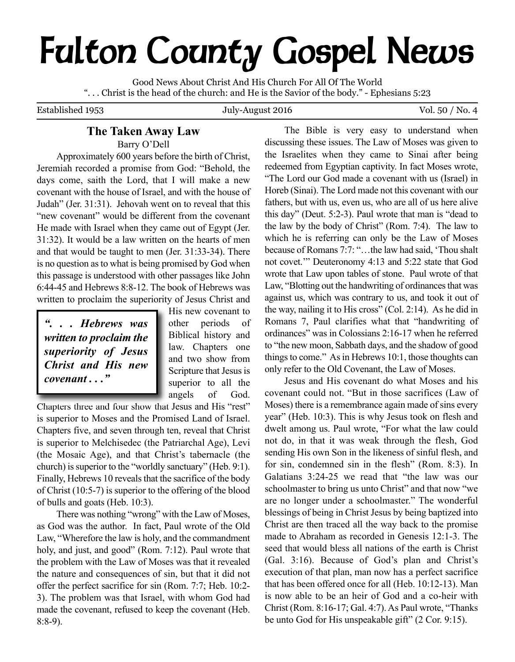# **Fulton County Gospel News**

Good News About Christ And His Church For All Of The World ". . . Christ is the head of the church: and He is the Savior of the body." - Ephesians 5:23

Established 1953 July-August 2016 Vol. 50 / No. 4

# **The Taken Away Law**

Barry O'Dell

Approximately 600 years before the birth of Christ, Jeremiah recorded a promise from God: "Behold, the days come, saith the Lord, that I will make a new covenant with the house of Israel, and with the house of Judah" (Jer. 31:31). Jehovah went on to reveal that this "new covenant" would be different from the covenant He made with Israel when they came out of Egypt (Jer. 31:32). It would be a law written on the hearts of men and that would be taught to men (Jer. 31:33-34). There is no question asto what is being promised by God when this passage is understood with other passages like John 6:44-45 and Hebrews 8:8-12. The book of Hebrews was written to proclaim the superiority of Jesus Christ and

*". . . Hebrews was written to proclaim the superiority of Jesus Christ and His new covenant . . ."*

His new covenant to other periods of Biblical history and law. Chapters one and two show from Scripture that Jesus is superior to all the angels of God.

Chapters three and four show that Jesus and His "rest" is superior to Moses and the Promised Land of Israel. Chapters five, and seven through ten, reveal that Christ is superior to Melchisedec (the Patriarchal Age), Levi (the Mosaic Age), and that Christ's tabernacle (the church) is superior to the "worldly sanctuary" (Heb. 9:1). Finally, Hebrews 10 reveals that the sacrifice of the body of Christ (10:5-7) is superior to the offering of the blood of bulls and goats (Heb. 10:3).

There was nothing "wrong" with the Law of Moses, as God was the author. In fact, Paul wrote of the Old Law, "Wherefore the law is holy, and the commandment holy, and just, and good" (Rom. 7:12). Paul wrote that the problem with the Law of Moses was that it revealed the nature and consequences of sin, but that it did not offer the perfect sacrifice for sin (Rom. 7:7; Heb. 10:2- 3). The problem was that Israel, with whom God had made the covenant, refused to keep the covenant (Heb. 8:8-9).

The Bible is very easy to understand when discussing these issues. The Law of Moses was given to the Israelites when they came to Sinai after being redeemed from Egyptian captivity. In fact Moses wrote, "The Lord our God made a covenant with us (Israel) in Horeb (Sinai). The Lord made not this covenant with our fathers, but with us, even us, who are all of us here alive this day" (Deut. 5:2-3). Paul wrote that man is "dead to the law by the body of Christ" (Rom. 7:4). The law to which he is referring can only be the Law of Moses because of Romans 7:7: "…the law had said, 'Thou shalt not covet.'" Deuteronomy 4:13 and 5:22 state that God wrote that Law upon tables of stone. Paul wrote of that Law, "Blotting out the handwriting of ordinances that was against us, which was contrary to us, and took it out of the way, nailing it to His cross" (Col. 2:14). As he did in Romans 7, Paul clarifies what that "handwriting of ordinances" was in Colossians 2:16-17 when he referred to "the new moon, Sabbath days, and the shadow of good things to come." As in Hebrews  $10:1$ , those thoughts can only refer to the Old Covenant, the Law of Moses.

Jesus and His covenant do what Moses and his covenant could not. "But in those sacrifices (Law of Moses) there is a remembrance again made of sins every year" (Heb. 10:3). This is why Jesus took on flesh and dwelt among us. Paul wrote, "For what the law could not do, in that it was weak through the flesh, God sending His own Son in the likeness of sinful flesh, and for sin, condemned sin in the flesh" (Rom. 8:3). In Galatians 3:24-25 we read that "the law was our schoolmaster to bring us unto Christ" and that now "we are no longer under a schoolmaster." The wonderful blessings of being in Christ Jesus by being baptized into Christ are then traced all the way back to the promise made to Abraham as recorded in Genesis 12:1-3. The seed that would bless all nations of the earth is Christ (Gal. 3:16). Because of God's plan and Christ's execution of that plan, man now has a perfect sacrifice that has been offered once for all (Heb. 10:12-13). Man is now able to be an heir of God and a co-heir with Christ (Rom. 8:16-17; Gal. 4:7).As Paul wrote, "Thanks be unto God for His unspeakable gift" (2 Cor. 9:15).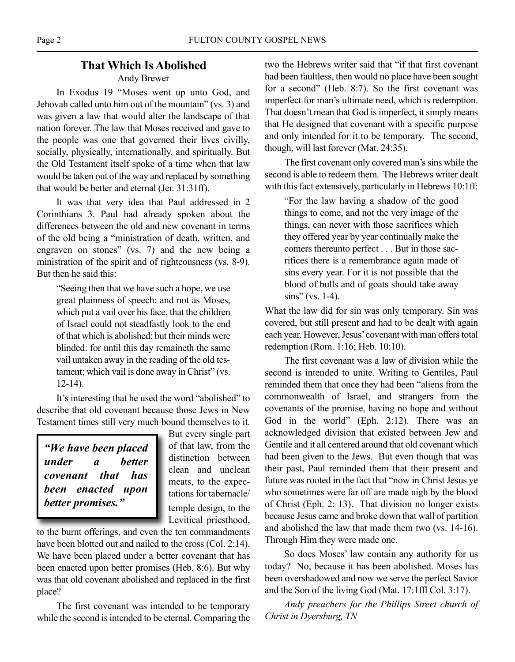# **That Which Is Abolished**

# Andy Brewer

In Exodus 19 "Moses went up unto God, and Jehovah called unto him out of the mountain" (vs. 3) and was given a law that would alter the landscape of that nation forever. The law that Moses received and gave to the people was one that governed their lives civilly, socially, physically, internationally, and spiritually. But the Old Testament itself spoke of a time when that law would be taken out of the way and replaced by something that would be better and eternal (Jer. 31:31ff).

It was that very idea that Paul addressed in 2 Corinthians 3. Paul had already spoken about the differences between the old and new covenant in terms of the old being a "ministration of death, written, and engraven on stones" (vs. 7) and the new being a ministration of the spirit and of righteousness (vs. 8-9). But then he said this:

"Seeing then that we have such a hope, we use great plainness of speech: and not as Moses, which put a vail over his face, that the children of Israel could not steadfastly look to the end of that which is abolished: but their minds were blinded: for until this day remaineth the same vail untaken away in the reading of the old testament; which vail is done away in Christ" (vs. 12-14).

It's interesting that he used the word "abolished" to describe that old covenant because those Jews in New Testament times still very much bound themselves to it.

*"We have been placed under a better covenant that has been enacted upon better promises."*

But every single part of that law, from the distinction between clean and unclean meats, to the expectations for tabernacle/ temple design, to the Levitical priesthood,

to the burnt offerings, and even the ten commandments have been blotted out and nailed to the cross (Col. 2:14). We have been placed under a better covenant that has been enacted upon better promises (Heb. 8:6). But why was that old covenant abolished and replaced in the first place?

The first covenant was intended to be temporary while the second is intended to be eternal. Comparing the two the Hebrews writer said that "if that first covenant had been faultless, then would no place have been sought for a second" (Heb. 8:7). So the first covenant was imperfect for man's ultimate need, which is redemption. That doesn't mean that God is imperfect, it simply means that He designed that covenant with a specific purpose and only intended for it to be temporary. The second, though, will last forever (Mat. 24:35).

The first covenant only covered man's sins while the second is able to redeem them. The Hebrews writer dealt with this fact extensively, particularly in Hebrews 10:1ff:

"For the law having a shadow of the good things to come, and not the very image of the things, can never with those sacrifices which they offered year by year continually make the comers thereunto perfect . . . But in those sacrifices there is a remembrance again made of sins every year. For it is not possible that the blood of bulls and of goats should take away sins" (vs. 1-4).

What the law did for sin was only temporary. Sin was covered, but still present and had to be dealt with again each year. However, Jesus' covenant with man offers total redemption (Rom. 1:16; Heb. 10:10).

The first covenant was a law of division while the second is intended to unite. Writing to Gentiles, Paul reminded them that once they had been "aliens from the commonwealth of Israel, and strangers from the covenants of the promise, having no hope and without God in the world" (Eph. 2:12). There was an acknowledged division that existed between Jew and Gentile and it all centered around that old covenant which had been given to the Jews. But even though that was their past, Paul reminded them that their present and future was rooted in the fact that "now in Christ Jesus ye who sometimes were far off are made nigh by the blood of Christ (Eph. 2: 13). That division no longer exists because Jesus came and broke down that wall of partition and abolished the law that made them two (vs. 14-16). Through Him they were made one.

So does Moses' law contain any authority for us today? No, because it has been abolished. Moses has been overshadowed and now we serve the perfect Savior and the Son of the living God (Mat. 17:1ffl Col. 3:17).

*Andy preachers for the Phillips Street church of Christ in Dyersburg, TN*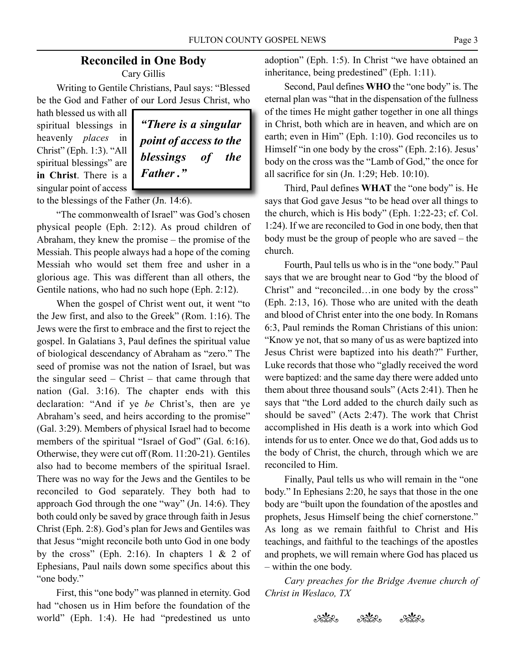# **Reconciled in One Body** Cary Gillis

Writing to Gentile Christians, Paul says: "Blessed be the God and Father of our Lord Jesus Christ, who

hath blessed us with all spiritual blessings in heavenly *places* in Christ" (Eph. 1:3). "All spiritual blessings" are **in Christ**. There is a singular point of access



to the blessings of the Father (Jn. 14:6).

"The commonwealth of Israel" was God's chosen physical people (Eph. 2:12). As proud children of Abraham, they knew the promise – the promise of the Messiah. This people always had a hope of the coming Messiah who would set them free and usher in a glorious age. This was different than all others, the Gentile nations, who had no such hope (Eph. 2:12).

When the gospel of Christ went out, it went "to the Jew first, and also to the Greek" (Rom. 1:16). The Jews were the first to embrace and the first to reject the gospel. In Galatians 3, Paul defines the spiritual value of biological descendancy of Abraham as "zero." The seed of promise was not the nation of Israel, but was the singular seed – Christ – that came through that nation (Gal. 3:16). The chapter ends with this declaration: "And if ye *be* Christ's, then are ye Abraham's seed, and heirs according to the promise" (Gal. 3:29). Members of physical Israel had to become members of the spiritual "Israel of God" (Gal. 6:16). Otherwise, they were cut off (Rom. 11:20-21). Gentiles also had to become members of the spiritual Israel. There was no way for the Jews and the Gentiles to be reconciled to God separately. They both had to approach God through the one "way" (Jn. 14:6). They both could only be saved by grace through faith in Jesus Christ (Eph. 2:8). God's plan for Jews and Gentiles was that Jesus "might reconcile both unto God in one body by the cross" (Eph. 2:16). In chapters  $1 \& 2$  of Ephesians, Paul nails down some specifics about this "one body."

First, this "one body" was planned in eternity. God had "chosen us in Him before the foundation of the world" (Eph. 1:4). He had "predestined us unto

adoption" (Eph. 1:5). In Christ "we have obtained an inheritance, being predestined" (Eph. 1:11).

Second, Paul defines **WHO** the "one body" is. The eternal plan was "that in the dispensation of the fullness of the times He might gather together in one all things in Christ, both which are in heaven, and which are on earth; even in Him" (Eph. 1:10). God reconciles us to Himself "in one body by the cross" (Eph. 2:16). Jesus' body on the cross was the "Lamb of God," the once for all sacrifice for sin (Jn. 1:29; Heb. 10:10).

Third, Paul defines **WHAT** the "one body" is. He says that God gave Jesus "to be head over all things to the church, which is His body" (Eph. 1:22-23; cf. Col. 1:24). If we are reconciled to God in one body, then that body must be the group of people who are saved – the church.

Fourth, Paul tells us who is in the "one body." Paul says that we are brought near to God "by the blood of Christ" and "reconciled…in one body by the cross" (Eph. 2:13, 16). Those who are united with the death and blood of Christ enter into the one body. In Romans 6:3, Paul reminds the Roman Christians of this union: "Know ye not, that so many of us as were baptized into Jesus Christ were baptized into his death?" Further, Luke records that those who "gladly received the word were baptized: and the same day there were added unto them about three thousand souls" (Acts 2:41). Then he says that "the Lord added to the church daily such as should be saved" (Acts 2:47). The work that Christ accomplished in His death is a work into which God intends for us to enter. Once we do that, God adds us to the body of Christ, the church, through which we are reconciled to Him.

Finally, Paul tells us who will remain in the "one body." In Ephesians 2:20, he says that those in the one body are "built upon the foundation of the apostles and prophets, Jesus Himself being the chief cornerstone." As long as we remain faithful to Christ and His teachings, and faithful to the teachings of the apostles and prophets, we will remain where God has placed us – within the one body.

*Cary preaches for the Bridge Avenue church of Christ in Weslaco, TX*

akte akte akte